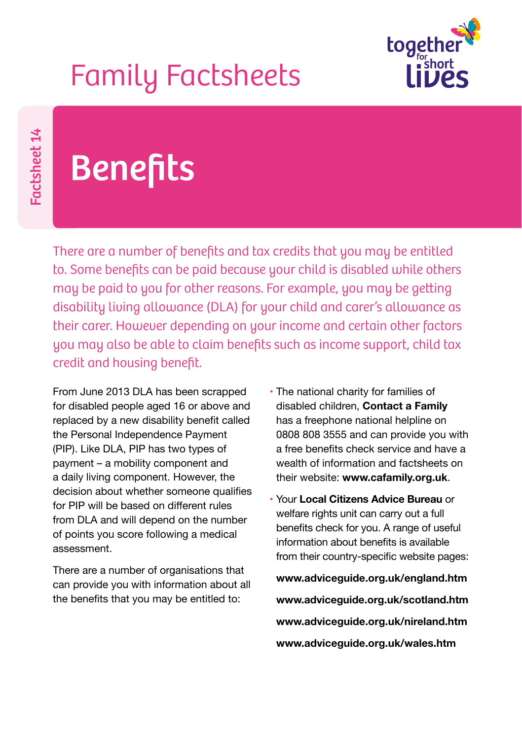## Family Factsheets



Factsheet 14 Factsheet 14

## **Benefits**

There are a number of benefits and tax credits that you may be entitled to. Some benefits can be paid because your child is disabled while others may be paid to you for other reasons. For example, you may be getting disability living allowance (DLA) for your child and carer's allowance as their carer. However depending on your income and certain other factors you may also be able to claim benefits such as income support, child tax credit and housing benefit.

From June 2013 DLA has been scrapped for disabled people aged 16 or above and replaced by a new disability benefit called the Personal Independence Payment (PIP). Like DLA, PIP has two types of payment – a mobility component and a daily living component. However, the decision about whether someone qualifies for PIP will be based on different rules from DLA and will depend on the number of points you score following a medical assessment.

There are a number of organisations that can provide you with information about all the benefits that you may be entitled to:

- The national charity for families of disabled children, **Contact a Family** has a freephone national helpline on 0808 808 3555 and can provide you with a free benefits check service and have a wealth of information and factsheets on their website: **www.cafamily.org.uk**.
- Your **Local Citizens Advice Bureau** or welfare rights unit can carry out a full benefits check for you. A range of useful information about benefits is available from their country-specific website pages:

**www.adviceguide.org.uk/england.htm www.adviceguide.org.uk/scotland.htm www.adviceguide.org.uk/nireland.htm www.adviceguide.org.uk/wales.htm**